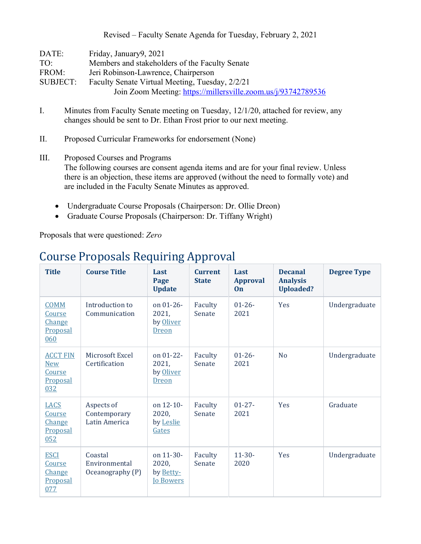Revised – Faculty Senate Agenda for Tuesday, February 2, 2021

| DATE:           | Friday, January9, 2021                                        |
|-----------------|---------------------------------------------------------------|
| TO:             | Members and stakeholders of the Faculty Senate                |
| FROM:           | Jeri Robinson-Lawrence, Chairperson                           |
| <b>SUBJECT:</b> | Faculty Senate Virtual Meeting, Tuesday, 2/2/21               |
|                 | Join Zoom Meeting: https://millersville.zoom.us/j/93742789536 |

- I. Minutes from Faculty Senate meeting on Tuesday, 12/1/20, attached for review, any changes should be sent to Dr. Ethan Frost prior to our next meeting.
- II. Proposed Curricular Frameworks for endorsement (None)
- III. Proposed Courses and Programs The following courses are consent agenda items and are for your final review. Unless there is an objection, these items are approved (without the need to formally vote) and are included in the Faculty Senate Minutes as approved.
	- Undergraduate Course Proposals (Chairperson: Dr. Ollie Dreon)
	- Graduate Course Proposals (Chairperson: Dr. Tiffany Wright)

Proposals that were questioned: *Zero*

| <b>Title</b>                                               | <b>Course Title</b>                          | Last<br>Page<br><b>Update</b>                       | <b>Current</b><br><b>State</b> | Last<br><b>Approval</b><br>On | <b>Decanal</b><br><b>Analysis</b><br><b>Uploaded?</b> | <b>Degree Type</b> |
|------------------------------------------------------------|----------------------------------------------|-----------------------------------------------------|--------------------------------|-------------------------------|-------------------------------------------------------|--------------------|
| <b>COMM</b><br>Course<br>Change<br>Proposal<br>060         | Introduction to<br>Communication             | on $01 - 26$ -<br>2021,<br>by Oliver<br>Dreon       | Faculty<br>Senate              | $01 - 26 -$<br>2021           | <b>Yes</b>                                            | Undergraduate      |
| <b>ACCT FIN</b><br><b>New</b><br>Course<br>Proposal<br>032 | Microsoft Excel<br>Certification             | on $01 - 22 -$<br>2021,<br>by Oliver<br>Dreon       | Faculty<br>Senate              | $01 - 26 -$<br>2021           | N <sub>o</sub>                                        | Undergraduate      |
| <b>LACS</b><br>Course<br><b>Change</b><br>Proposal<br>052  | Aspects of<br>Contemporary<br>Latin America  | on 12-10-<br>2020,<br>by Leslie<br>Gates            | Faculty<br>Senate              | $01 - 27 -$<br>2021           | <b>Yes</b>                                            | Graduate           |
| <b>ESCI</b><br>Course<br><b>Change</b><br>Proposal<br>077  | Coastal<br>Environmental<br>Oceanography (P) | on 11-30-<br>2020,<br>by Betty-<br><b>Io Bowers</b> | Faculty<br>Senate              | $11-30-$<br>2020              | Yes                                                   | Undergraduate      |

## Course Proposals Requiring Approval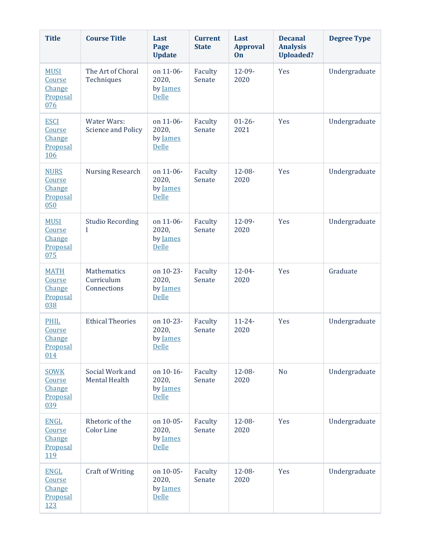| <b>Title</b>                                                     | <b>Course Title</b>                      | Last<br>Page<br><b>Update</b>                  | <b>Current</b><br><b>State</b> | Last<br><b>Approval</b><br>On | <b>Decanal</b><br><b>Analysis</b><br><b>Uploaded?</b> | <b>Degree Type</b> |
|------------------------------------------------------------------|------------------------------------------|------------------------------------------------|--------------------------------|-------------------------------|-------------------------------------------------------|--------------------|
| <b>MUSI</b><br>Course<br>Change<br>Proposal<br>076               | The Art of Choral<br>Techniques          | on 11-06-<br>2020,<br>by James<br>Delle        | Faculty<br>Senate              | $12 - 09 -$<br>2020           | Yes                                                   | Undergraduate      |
| <b>ESCI</b><br>Course<br><b>Change</b><br>Proposal<br>106        | Water Wars:<br><b>Science and Policy</b> | on 11-06-<br>2020,<br>by James<br><b>Delle</b> | Faculty<br>Senate              | $01 - 26 -$<br>2021           | Yes                                                   | Undergraduate      |
| <b>NURS</b><br>Course<br><b>Change</b><br>Proposal<br>050        | <b>Nursing Research</b>                  | on 11-06-<br>2020,<br>by James<br>Delle        | Faculty<br>Senate              | $12 - 08 -$<br>2020           | Yes                                                   | Undergraduate      |
| <b>MUSI</b><br>Course<br>Change<br>Proposal<br>075               | <b>Studio Recording</b><br>I             | on 11-06-<br>2020,<br>by James<br>Delle        | Faculty<br>Senate              | $12 - 09 -$<br>2020           | Yes                                                   | Undergraduate      |
| <b>MATH</b><br>Course<br>Change<br>Proposal<br>038               | Mathematics<br>Curriculum<br>Connections | on 10-23-<br>2020,<br>by James<br>Delle        | Faculty<br>Senate              | $12 - 04 -$<br>2020           | Yes                                                   | Graduate           |
| <b>PHIL</b><br><u>Course</u><br>Change<br>Proposal<br>014        | <b>Ethical Theories</b>                  | on 10-23-<br>2020,<br>by James<br>Delle        | Faculty<br>Senate              | $11 - 24 -$<br>2020           | Yes                                                   | Undergraduate      |
| <b>SOWK</b><br>Course<br>Change<br>Proposal<br>039               | Social Work and<br><b>Mental Health</b>  | on 10-16-<br>2020,<br>by James<br><b>Delle</b> | Faculty<br>Senate              | $12 - 08 -$<br>2020           | N <sub>o</sub>                                        | Undergraduate      |
| <b>ENGL</b><br>Course<br>Change<br>Proposal<br>119               | Rhetoric of the<br><b>Color Line</b>     | on 10-05-<br>2020,<br>by James<br><b>Delle</b> | Faculty<br>Senate              | $12 - 08 -$<br>2020           | Yes                                                   | Undergraduate      |
| <b>ENGL</b><br>Course<br><b>Change</b><br>Proposal<br><u>123</u> | <b>Craft of Writing</b>                  | on 10-05-<br>2020,<br>by James<br>Delle        | Faculty<br>Senate              | $12 - 08 -$<br>2020           | Yes                                                   | Undergraduate      |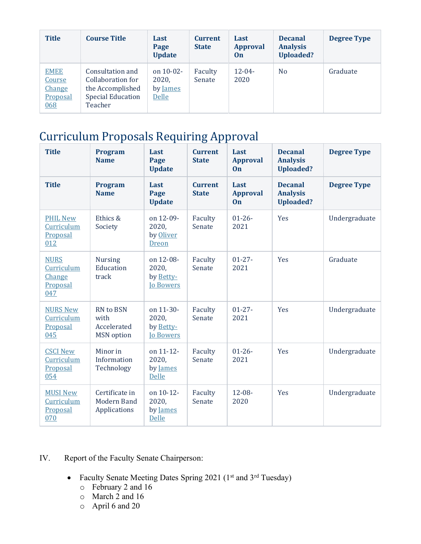| <b>Title</b>                                       | <b>Course Title</b>                                                                              | Last<br>Page<br><b>Update</b>                     | <b>Current</b><br><b>State</b> | Last<br><b>Approval</b><br>0n | <b>Decanal</b><br><b>Analysis</b><br><b>Uploaded?</b> | <b>Degree Type</b> |
|----------------------------------------------------|--------------------------------------------------------------------------------------------------|---------------------------------------------------|--------------------------------|-------------------------------|-------------------------------------------------------|--------------------|
| <b>EMEE</b><br>Course<br>Change<br>Proposal<br>068 | Consultation and<br>Collaboration for<br>the Accomplished<br><b>Special Education</b><br>Teacher | on $10-02$ -<br>2020,<br>by <u>James</u><br>Delle | Faculty<br>Senate              | $12 - 04 -$<br>2020           | N <sub>0</sub>                                        | Graduate           |

## Curriculum Proposals Requiring Approval

| <b>Title</b>                                           | <b>Program</b><br><b>Name</b>                         | Last<br>Page<br><b>Update</b>                       | <b>Current</b><br><b>State</b> | Last<br><b>Approval</b><br>On        | <b>Decanal</b><br><b>Analysis</b><br><b>Uploaded?</b> | <b>Degree Type</b> |
|--------------------------------------------------------|-------------------------------------------------------|-----------------------------------------------------|--------------------------------|--------------------------------------|-------------------------------------------------------|--------------------|
| <b>Title</b>                                           | <b>Program</b><br><b>Name</b>                         | Last<br>Page<br><b>Update</b>                       | <b>Current</b><br><b>State</b> | Last<br><b>Approval</b><br><b>On</b> | <b>Decanal</b><br><b>Analysis</b><br><b>Uploaded?</b> | <b>Degree Type</b> |
| <b>PHIL New</b><br>Curriculum<br>Proposal<br>012       | Ethics &<br>Society                                   | on 12-09-<br>2020,<br>by Oliver<br><b>Dreon</b>     | Faculty<br>Senate              | $01 - 26 -$<br>2021                  | Yes                                                   | Undergraduate      |
| <b>NURS</b><br>Curriculum<br>Change<br>Proposal<br>047 | <b>Nursing</b><br>Education<br>track                  | on 12-08-<br>2020,<br>by Betty-<br><b>Io Bowers</b> | Faculty<br>Senate              | $01 - 27 -$<br>2021                  | Yes                                                   | Graduate           |
| <b>NURS New</b><br>Curriculum<br>Proposal<br>045       | RN to BSN<br>with<br>Accelerated<br><b>MSN</b> option | on 11-30-<br>2020,<br>by Betty-<br><b>Io Bowers</b> | Faculty<br>Senate              | $01 - 27 -$<br>2021                  | Yes                                                   | Undergraduate      |
| <b>CSCI New</b><br>Curriculum<br>Proposal<br>054       | Minor in<br>Information<br>Technology                 | on 11-12-<br>2020,<br>by James<br>Delle             | Faculty<br>Senate              | $01 - 26 -$<br>2021                  | Yes                                                   | Undergraduate      |
| <b>MUSI New</b><br>Curriculum<br>Proposal<br>070       | Certificate in<br>Modern Band<br>Applications         | on 10-12-<br>2020,<br>by James<br>Delle             | Faculty<br>Senate              | $12 - 08 -$<br>2020                  | Yes                                                   | Undergraduate      |

## IV. Report of the Faculty Senate Chairperson:

- Faculty Senate Meeting Dates Spring 2021 (1<sup>st</sup> and 3<sup>rd</sup> Tuesday)
	- o February 2 and 16
	- o March 2 and 16
	- o April 6 and 20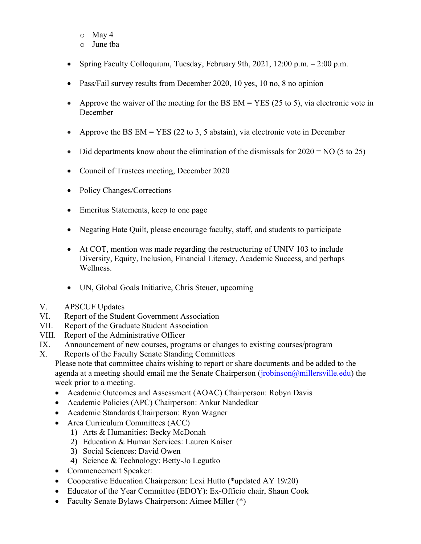- o May 4
- o June tba
- Spring Faculty Colloquium, Tuesday, February 9th, 2021, 12:00 p.m. 2:00 p.m.
- Pass/Fail survey results from December 2020, 10 yes, 10 no, 8 no opinion
- Approve the waiver of the meeting for the BS  $EM = YES$  (25 to 5), via electronic vote in December
- Approve the BS  $EM = YES$  (22 to 3, 5 abstain), via electronic vote in December
- Did departments know about the elimination of the dismissals for  $2020 = NO(5 \text{ to } 25)$
- Council of Trustees meeting, December 2020
- Policy Changes/Corrections
- Emeritus Statements, keep to one page
- Negating Hate Quilt, please encourage faculty, staff, and students to participate
- At COT, mention was made regarding the restructuring of UNIV 103 to include Diversity, Equity, Inclusion, Financial Literacy, Academic Success, and perhaps Wellness.
- UN, Global Goals Initiative, Chris Steuer, upcoming
- V. APSCUF Updates
- VI. Report of the Student Government Association
- VII. Report of the Graduate Student Association
- VIII. Report of the Administrative Officer
- IX. Announcement of new courses, programs or changes to existing courses/program
- X. Reports of the Faculty Senate Standing Committees

Please note that committee chairs wishing to report or share documents and be added to the agenda at a meeting should email me the Senate Chairperson (*jrobinson@millersville.edu*) the week prior to a meeting.

- Academic Outcomes and Assessment (AOAC) Chairperson: Robyn Davis
- Academic Policies (APC) Chairperson: Ankur Nandedkar
- Academic Standards Chairperson: Ryan Wagner
- Area Curriculum Committees (ACC)
	- 1) Arts & Humanities: Becky McDonah
	- 2) Education & Human Services: Lauren Kaiser
	- 3) Social Sciences: David Owen
	- 4) Science & Technology: Betty-Jo Legutko
- Commencement Speaker:
- Cooperative Education Chairperson: Lexi Hutto (\*updated AY 19/20)
- Educator of the Year Committee (EDOY): Ex-Officio chair, Shaun Cook
- Faculty Senate Bylaws Chairperson: Aimee Miller (\*)